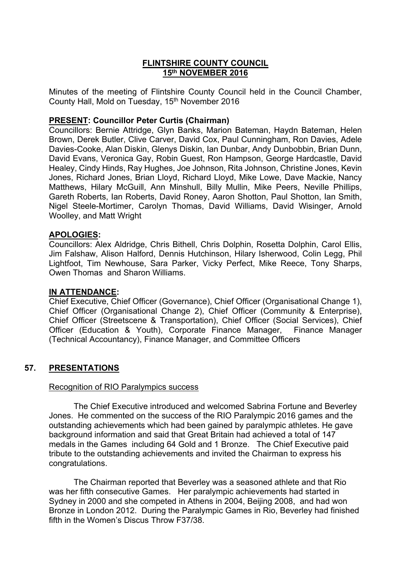## **FLINTSHIRE COUNTY COUNCIL 15th NOVEMBER 2016**

Minutes of the meeting of Flintshire County Council held in the Council Chamber, County Hall, Mold on Tuesday, 15th November 2016

### **PRESENT: Councillor Peter Curtis (Chairman)**

Councillors: Bernie Attridge, Glyn Banks, Marion Bateman, Haydn Bateman, Helen Brown, Derek Butler, Clive Carver, David Cox, Paul Cunningham, Ron Davies, Adele Davies-Cooke, Alan Diskin, Glenys Diskin, Ian Dunbar, Andy Dunbobbin, Brian Dunn, David Evans, Veronica Gay, Robin Guest, Ron Hampson, George Hardcastle, David Healey, Cindy Hinds, Ray Hughes, Joe Johnson, Rita Johnson, Christine Jones, Kevin Jones, Richard Jones, Brian Lloyd, Richard Lloyd, Mike Lowe, Dave Mackie, Nancy Matthews, Hilary McGuill, Ann Minshull, Billy Mullin, Mike Peers, Neville Phillips, Gareth Roberts, Ian Roberts, David Roney, Aaron Shotton, Paul Shotton, Ian Smith, Nigel Steele-Mortimer, Carolyn Thomas, David Williams, David Wisinger, Arnold Woolley, and Matt Wright

#### **APOLOGIES:**

Councillors: Alex Aldridge, Chris Bithell, Chris Dolphin, Rosetta Dolphin, Carol Ellis, Jim Falshaw, Alison Halford, Dennis Hutchinson, Hilary Isherwood, Colin Legg, Phil Lightfoot, Tim Newhouse, Sara Parker, Vicky Perfect, Mike Reece, Tony Sharps, Owen Thomas and Sharon Williams.

#### **IN ATTENDANCE:**

Chief Executive, Chief Officer (Governance), Chief Officer (Organisational Change 1), Chief Officer (Organisational Change 2), Chief Officer (Community & Enterprise), Chief Officer (Streetscene & Transportation), Chief Officer (Social Services), Chief Officer (Education & Youth), Corporate Finance Manager, Finance Manager (Technical Accountancy), Finance Manager, and Committee Officers

## **57. PRESENTATIONS**

#### Recognition of RIO Paralympics success

The Chief Executive introduced and welcomed Sabrina Fortune and Beverley Jones. He commented on the success of the RIO Paralympic 2016 games and the outstanding achievements which had been gained by paralympic athletes. He gave background information and said that Great Britain had achieved a total of 147 medals in the Games including 64 Gold and 1 Bronze. The Chief Executive paid tribute to the outstanding achievements and invited the Chairman to express his congratulations.

The Chairman reported that Beverley was a seasoned athlete and that Rio was her fifth consecutive Games. Her paralympic achievements had started in Sydney in 2000 and she competed in Athens in 2004, Beijing 2008, and had won Bronze in London 2012. During the Paralympic Games in Rio, Beverley had finished fifth in the Women's Discus Throw F37/38.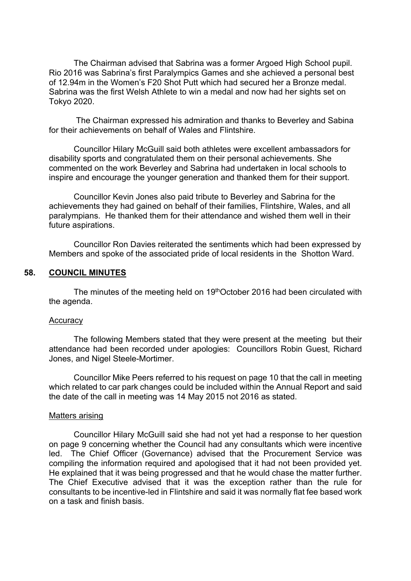The Chairman advised that Sabrina was a former Argoed High School pupil. Rio 2016 was Sabrina's first Paralympics Games and she achieved a personal best of 12.94m in the Women's F20 Shot Putt which had secured her a Bronze medal. Sabrina was the first Welsh Athlete to win a medal and now had her sights set on Tokyo 2020.

The Chairman expressed his admiration and thanks to Beverley and Sabina for their achievements on behalf of Wales and Flintshire.

Councillor Hilary McGuill said both athletes were excellent ambassadors for disability sports and congratulated them on their personal achievements. She commented on the work Beverley and Sabrina had undertaken in local schools to inspire and encourage the younger generation and thanked them for their support.

Councillor Kevin Jones also paid tribute to Beverley and Sabrina for the achievements they had gained on behalf of their families, Flintshire, Wales, and all paralympians. He thanked them for their attendance and wished them well in their future aspirations.

Councillor Ron Davies reiterated the sentiments which had been expressed by Members and spoke of the associated pride of local residents in the Shotton Ward.

#### **58. COUNCIL MINUTES**

The minutes of the meeting held on 19thOctober 2016 had been circulated with the agenda.

#### **Accuracy**

The following Members stated that they were present at the meeting but their attendance had been recorded under apologies: Councillors Robin Guest, Richard Jones, and Nigel Steele-Mortimer.

Councillor Mike Peers referred to his request on page 10 that the call in meeting which related to car park changes could be included within the Annual Report and said the date of the call in meeting was 14 May 2015 not 2016 as stated.

#### Matters arising

Councillor Hilary McGuill said she had not yet had a response to her question on page 9 concerning whether the Council had any consultants which were incentive led. The Chief Officer (Governance) advised that the Procurement Service was compiling the information required and apologised that it had not been provided yet. He explained that it was being progressed and that he would chase the matter further. The Chief Executive advised that it was the exception rather than the rule for consultants to be incentive-led in Flintshire and said it was normally flat fee based work on a task and finish basis.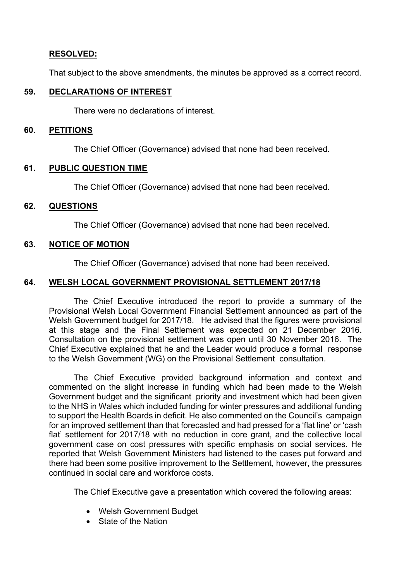# **RESOLVED:**

That subject to the above amendments, the minutes be approved as a correct record.

## **59. DECLARATIONS OF INTEREST**

There were no declarations of interest.

#### **60. PETITIONS**

The Chief Officer (Governance) advised that none had been received.

### **61. PUBLIC QUESTION TIME**

The Chief Officer (Governance) advised that none had been received.

### **62. QUESTIONS**

The Chief Officer (Governance) advised that none had been received.

### **63. NOTICE OF MOTION**

The Chief Officer (Governance) advised that none had been received.

# **64. WELSH LOCAL GOVERNMENT PROVISIONAL SETTLEMENT 2017/18**

The Chief Executive introduced the report to provide a summary of the Provisional Welsh Local Government Financial Settlement announced as part of the Welsh Government budget for 2017/18. He advised that the figures were provisional at this stage and the Final Settlement was expected on 21 December 2016. Consultation on the provisional settlement was open until 30 November 2016. The Chief Executive explained that he and the Leader would produce a formal response to the Welsh Government (WG) on the Provisional Settlement consultation.

The Chief Executive provided background information and context and commented on the slight increase in funding which had been made to the Welsh Government budget and the significant priority and investment which had been given to the NHS in Wales which included funding for winter pressures and additional funding to support the Health Boards in deficit. He also commented on the Council's campaign for an improved settlement than that forecasted and had pressed for a 'flat line' or 'cash flat' settlement for 2017/18 with no reduction in core grant, and the collective local government case on cost pressures with specific emphasis on social services. He reported that Welsh Government Ministers had listened to the cases put forward and there had been some positive improvement to the Settlement, however, the pressures continued in social care and workforce costs.

The Chief Executive gave a presentation which covered the following areas:

- Welsh Government Budget
- State of the Nation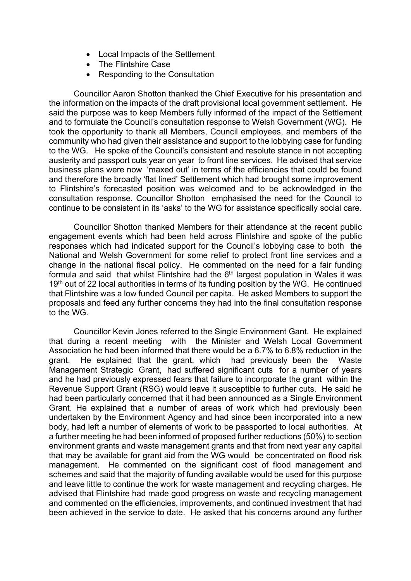- Local Impacts of the Settlement
- The Flintshire Case
- Responding to the Consultation

Councillor Aaron Shotton thanked the Chief Executive for his presentation and the information on the impacts of the draft provisional local government settlement. He said the purpose was to keep Members fully informed of the impact of the Settlement and to formulate the Council's consultation response to Welsh Government (WG). He took the opportunity to thank all Members, Council employees, and members of the community who had given their assistance and support to the lobbying case for funding to the WG. He spoke of the Council's consistent and resolute stance in not accepting austerity and passport cuts year on year to front line services. He advised that service business plans were now 'maxed out' in terms of the efficiencies that could be found and therefore the broadly 'flat lined' Settlement which had brought some improvement to Flintshire's forecasted position was welcomed and to be acknowledged in the consultation response. Councillor Shotton emphasised the need for the Council to continue to be consistent in its 'asks' to the WG for assistance specifically social care.

Councillor Shotton thanked Members for their attendance at the recent public engagement events which had been held across Flintshire and spoke of the public responses which had indicated support for the Council's lobbying case to both the National and Welsh Government for some relief to protect front line services and a change in the national fiscal policy. He commented on the need for a fair funding formula and said that whilst Flintshire had the 6<sup>th</sup> largest population in Wales it was 19<sup>th</sup> out of 22 local authorities in terms of its funding position by the WG. He continued that Flintshire was a low funded Council per capita. He asked Members to support the proposals and feed any further concerns they had into the final consultation response to the WG.

Councillor Kevin Jones referred to the Single Environment Gant. He explained that during a recent meeting with the Minister and Welsh Local Government Association he had been informed that there would be a 6.7% to 6.8% reduction in the grant. He explained that the grant, which had previously been the Waste Management Strategic Grant, had suffered significant cuts for a number of years and he had previously expressed fears that failure to incorporate the grant within the Revenue Support Grant (RSG) would leave it susceptible to further cuts. He said he had been particularly concerned that it had been announced as a Single Environment Grant. He explained that a number of areas of work which had previously been undertaken by the Environment Agency and had since been incorporated into a new body, had left a number of elements of work to be passported to local authorities. At a further meeting he had been informed of proposed further reductions (50%) to section environment grants and waste management grants and that from next year any capital that may be available for grant aid from the WG would be concentrated on flood risk management. He commented on the significant cost of flood management and schemes and said that the majority of funding available would be used for this purpose and leave little to continue the work for waste management and recycling charges. He advised that Flintshire had made good progress on waste and recycling management and commented on the efficiencies, improvements, and continued investment that had been achieved in the service to date. He asked that his concerns around any further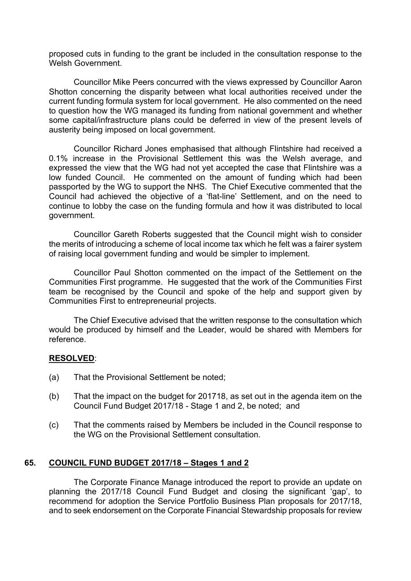proposed cuts in funding to the grant be included in the consultation response to the Welsh Government.

Councillor Mike Peers concurred with the views expressed by Councillor Aaron Shotton concerning the disparity between what local authorities received under the current funding formula system for local government. He also commented on the need to question how the WG managed its funding from national government and whether some capital/infrastructure plans could be deferred in view of the present levels of austerity being imposed on local government.

Councillor Richard Jones emphasised that although Flintshire had received a 0.1% increase in the Provisional Settlement this was the Welsh average, and expressed the view that the WG had not yet accepted the case that Flintshire was a low funded Council. He commented on the amount of funding which had been passported by the WG to support the NHS. The Chief Executive commented that the Council had achieved the objective of a 'flat-line' Settlement, and on the need to continue to lobby the case on the funding formula and how it was distributed to local government.

Councillor Gareth Roberts suggested that the Council might wish to consider the merits of introducing a scheme of local income tax which he felt was a fairer system of raising local government funding and would be simpler to implement.

Councillor Paul Shotton commented on the impact of the Settlement on the Communities First programme. He suggested that the work of the Communities First team be recognised by the Council and spoke of the help and support given by Communities First to entrepreneurial projects.

The Chief Executive advised that the written response to the consultation which would be produced by himself and the Leader, would be shared with Members for reference.

## **RESOLVED**:

- (a) That the Provisional Settlement be noted;
- (b) That the impact on the budget for 201718, as set out in the agenda item on the Council Fund Budget 2017/18 - Stage 1 and 2, be noted; and
- (c) That the comments raised by Members be included in the Council response to the WG on the Provisional Settlement consultation.

## **65. COUNCIL FUND BUDGET 2017/18 – Stages 1 and 2**

The Corporate Finance Manage introduced the report to provide an update on planning the 2017/18 Council Fund Budget and closing the significant 'gap', to recommend for adoption the Service Portfolio Business Plan proposals for 2017/18, and to seek endorsement on the Corporate Financial Stewardship proposals for review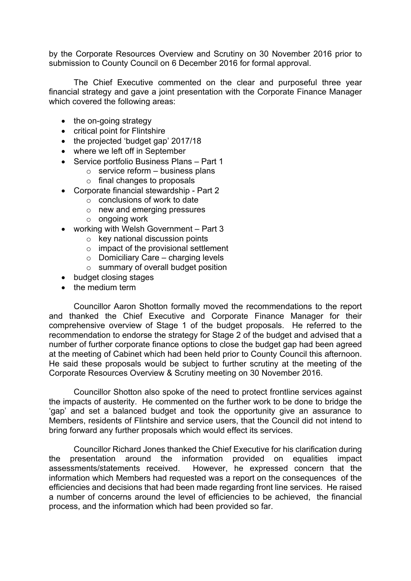by the Corporate Resources Overview and Scrutiny on 30 November 2016 prior to submission to County Council on 6 December 2016 for formal approval.

The Chief Executive commented on the clear and purposeful three year financial strategy and gave a joint presentation with the Corporate Finance Manager which covered the following areas:

- the on-going strategy
- critical point for Flintshire
- the projected 'budget gap' 2017/18
- where we left off in September
- Service portfolio Business Plans Part 1
	- $\circ$  service reform business plans
	- o final changes to proposals
- Corporate financial stewardship Part 2
	- $\circ$  conclusions of work to date
	- o new and emerging pressures
	- o ongoing work
- working with Welsh Government Part 3
	- $\circ$  key national discussion points
	- o impact of the provisional settlement
	- $\circ$  Domiciliary Care charging levels
	- o summary of overall budget position
- budget closing stages
- the medium term

Councillor Aaron Shotton formally moved the recommendations to the report and thanked the Chief Executive and Corporate Finance Manager for their comprehensive overview of Stage 1 of the budget proposals. He referred to the recommendation to endorse the strategy for Stage 2 of the budget and advised that a number of further corporate finance options to close the budget gap had been agreed at the meeting of Cabinet which had been held prior to County Council this afternoon. He said these proposals would be subject to further scrutiny at the meeting of the Corporate Resources Overview & Scrutiny meeting on 30 November 2016.

Councillor Shotton also spoke of the need to protect frontline services against the impacts of austerity. He commented on the further work to be done to bridge the 'gap' and set a balanced budget and took the opportunity give an assurance to Members, residents of Flintshire and service users, that the Council did not intend to bring forward any further proposals which would effect its services.

Councillor Richard Jones thanked the Chief Executive for his clarification during the presentation around the information provided on equalities impact assessments/statements received. However, he expressed concern that the information which Members had requested was a report on the consequences of the efficiencies and decisions that had been made regarding front line services. He raised a number of concerns around the level of efficiencies to be achieved, the financial process, and the information which had been provided so far.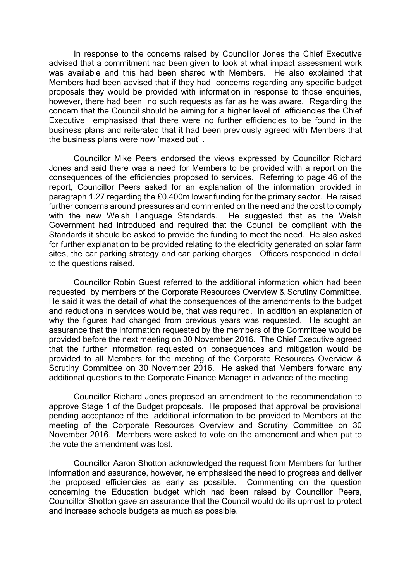In response to the concerns raised by Councillor Jones the Chief Executive advised that a commitment had been given to look at what impact assessment work was available and this had been shared with Members. He also explained that Members had been advised that if they had concerns regarding any specific budget proposals they would be provided with information in response to those enquiries, however, there had been no such requests as far as he was aware. Regarding the concern that the Council should be aiming for a higher level of efficiencies the Chief Executive emphasised that there were no further efficiencies to be found in the business plans and reiterated that it had been previously agreed with Members that the business plans were now 'maxed out' .

Councillor Mike Peers endorsed the views expressed by Councillor Richard Jones and said there was a need for Members to be provided with a report on the consequences of the efficiencies proposed to services. Referring to page 46 of the report, Councillor Peers asked for an explanation of the information provided in paragraph 1.27 regarding the £0.400m lower funding for the primary sector. He raised further concerns around pressures and commented on the need and the cost to comply with the new Welsh Language Standards. He suggested that as the Welsh Government had introduced and required that the Council be compliant with the Standards it should be asked to provide the funding to meet the need. He also asked for further explanation to be provided relating to the electricity generated on solar farm sites, the car parking strategy and car parking charges Officers responded in detail to the questions raised.

Councillor Robin Guest referred to the additional information which had been requested by members of the Corporate Resources Overview & Scrutiny Committee. He said it was the detail of what the consequences of the amendments to the budget and reductions in services would be, that was required. In addition an explanation of why the figures had changed from previous years was requested. He sought an assurance that the information requested by the members of the Committee would be provided before the next meeting on 30 November 2016. The Chief Executive agreed that the further information requested on consequences and mitigation would be provided to all Members for the meeting of the Corporate Resources Overview & Scrutiny Committee on 30 November 2016. He asked that Members forward any additional questions to the Corporate Finance Manager in advance of the meeting

Councillor Richard Jones proposed an amendment to the recommendation to approve Stage 1 of the Budget proposals. He proposed that approval be provisional pending acceptance of the additional information to be provided to Members at the meeting of the Corporate Resources Overview and Scrutiny Committee on 30 November 2016. Members were asked to vote on the amendment and when put to the vote the amendment was lost.

Councillor Aaron Shotton acknowledged the request from Members for further information and assurance, however, he emphasised the need to progress and deliver the proposed efficiencies as early as possible. Commenting on the question concerning the Education budget which had been raised by Councillor Peers, Councillor Shotton gave an assurance that the Council would do its upmost to protect and increase schools budgets as much as possible.